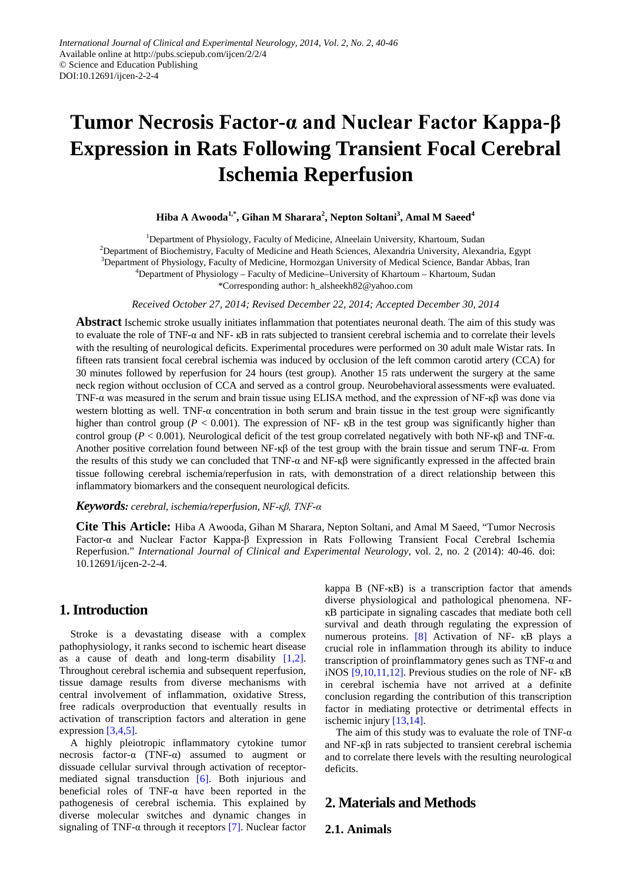# **Tumor Necrosis Factor-α and Nuclear Factor Kappa-β Expression in Rats Following Transient Focal Cerebral Ischemia Reperfusion**

## **Hiba A Awooda1,\* , Gihan M Sharara<sup>2</sup> , Nepton Soltani<sup>3</sup> , Amal M Saeed4**

<sup>1</sup>Department of Physiology, Faculty of Medicine, Alneelain University, Khartoum, Sudan <sup>2</sup>Department of Biochemistry, Faculty of Medicine and Heath Sciences, Alexandria University, Alexandria, Egypt 3 Department of Physiology, Faculty of Medicine, Hormozgan University of Medical Science, Bandar Abbas, Iran 4 Department of Physiology – Faculty of Medicine–University of Khartoum – Khartoum, Sudan \*Corresponding author: h\_alsheekh82@yahoo.com

*Received October 27, 2014; Revised December 22, 2014; Accepted December 30, 2014*

**Abstract** Ischemic stroke usually initiates inflammation that potentiates neuronal death. The aim of this study was to evaluate the role of TNF-α and NF- қB in rats subjected to transient cerebral ischemia and to correlate their levels with the resulting of neurological deficits. Experimental procedures were performed on 30 adult male Wistar rats. In fifteen rats transient focal cerebral ischemia was induced by occlusion of the left common carotid artery (CCA) for 30 minutes followed by reperfusion for 24 hours (test group). Another 15 rats underwent the surgery at the same neck region without occlusion of CCA and served as a control group. Neurobehavioral assessments were evaluated. TNF-α was measured in the serum and brain tissue using ELISA method, and the expression of NF-қβ was done via western blotting as well. TNF- $\alpha$  concentration in both serum and brain tissue in the test group were significantly higher than control group ( $P < 0.001$ ). The expression of NF-  $\kappa$ B in the test group was significantly higher than control group (*P* < 0.001). Neurological deficit of the test group correlated negatively with both NF-қβ and TNF-α. Another positive correlation found between NF-қβ of the test group with the brain tissue and serum TNF-α. From the results of this study we can concluded that TNF- $\alpha$  and NF- $\kappa\beta$  were significantly expressed in the affected brain tissue following cerebral ischemia/reperfusion in rats, with demonstration of a direct relationship between this inflammatory biomarkers and the consequent neurological deficits.

#### *Keywords: cerebral, ischemia/reperfusion, NF-қβ, TNF-α*

**Cite This Article:** Hiba A Awooda, Gihan M Sharara, Nepton Soltani, and Amal M Saeed, "Tumor Necrosis Factor-α and Nuclear Factor Kappa-β Expression in Rats Following Transient Focal Cerebral Ischemia Reperfusion." *International Journal of Clinical and Experimental Neurology*, vol. 2, no. 2 (2014): 40-46. doi: 10.12691/ijcen-2-2-4.

# **1. Introduction**

Stroke is a devastating disease with a complex pathophysiology, it ranks second to ischemic heart disease as a cause of death and long-term disability  $[1,2]$ . Throughout cerebral ischemia and subsequent reperfusion, tissue damage results from diverse mechanisms with central involvement of inflammation, oxidative Stress, free radicals overproduction that eventually results in activation of transcription factors and alteration in gene expression [\[3,4,5\].](#page-5-1)

A highly pleiotropic inflammatory cytokine tumor necrosis factor- $\alpha$  (TNF- $\alpha$ ) assumed to augment or dissuade cellular survival through activation of receptormediated signal transduction [\[6\].](#page-5-2) Both injurious and beneficial roles of TNF- $\alpha$  have been reported in the pathogenesis of cerebral ischemia. This explained by diverse molecular switches and dynamic changes in signaling of TNF- $\alpha$  through it receptors [\[7\].](#page-5-3) Nuclear factor kappa B (NF-қB) is a transcription factor that amends diverse physiological and pathological phenomena. NFқB participate in signaling cascades that mediate both cell survival and death through regulating the expression of numerous proteins. [\[8\]](#page-5-4) Activation of NF- қB plays a crucial role in inflammation through its ability to induce transcription of proinflammatory genes such as TNF-α and iNOS  $[9,10,11,12]$ . Previous studies on the role of NF-  $\kappa$ B in cerebral ischemia have not arrived at a definite conclusion regarding the contribution of this transcription factor in mediating protective or detrimental effects in ischemic injur[y \[13,14\].](#page-5-6)

The aim of this study was to evaluate the role of TNF- $\alpha$ and NF-қβ in rats subjected to transient cerebral ischemia and to correlate there levels with the resulting neurological deficits.

# **2. Materials and Methods**

## **2.1. Animals**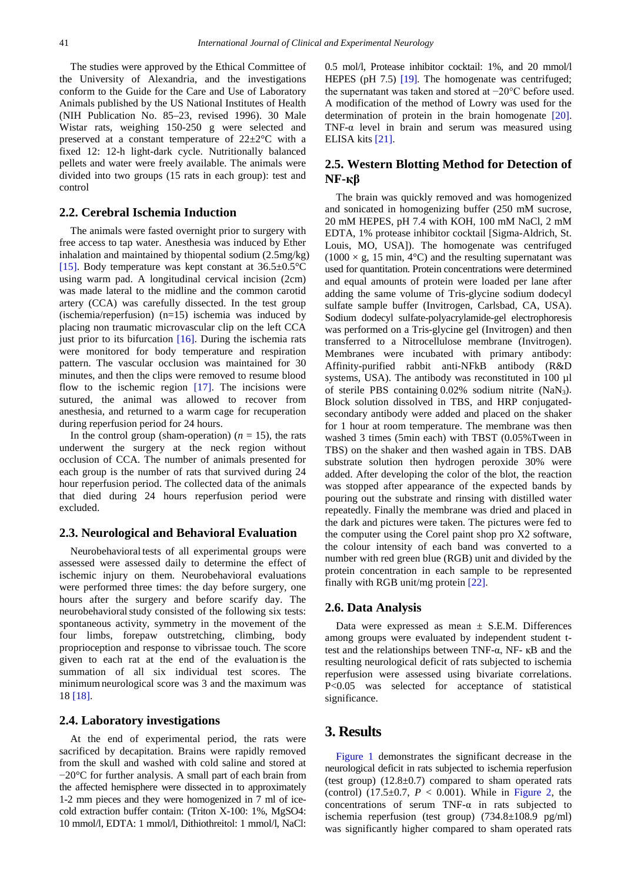The studies were approved by the Ethical Committee of the University of Alexandria, and the investigations conform to the Guide for the Care and Use of Laboratory Animals published by the US National Institutes of Health (NIH Publication No. 85–23, revised 1996). 30 Male Wistar rats, weighing 150-250 g were selected and preserved at a constant temperature of 22±2°C with a fixed 12: 12-h light-dark cycle. Nutritionally balanced pellets and water were freely available. The animals were divided into two groups (15 rats in each group): test and control

## **2.2. Cerebral Ischemia Induction**

The animals were fasted overnight prior to surgery with free access to tap water. Anesthesia was induced by Ether inhalation and maintained by thiopental sodium (2.5mg/kg) [\[15\].](#page-5-7) Body temperature was kept constant at  $36.5 \pm 0.5^{\circ}$ C using warm pad. A longitudinal cervical incision (2cm) was made lateral to the midline and the common carotid artery (CCA) was carefully dissected. In the test group (ischemia/reperfusion) (n=15) ischemia was induced by placing non traumatic microvascular clip on the left CCA just prior to its bifurcation  $[16]$ . During the ischemia rats were monitored for body temperature and respiration pattern. The vascular occlusion was maintained for 30 minutes, and then the clips were removed to resume blood flow to the ischemic region  $[17]$ . The incisions were sutured, the animal was allowed to recover from anesthesia, and returned to a warm cage for recuperation during reperfusion period for 24 hours.

In the control group (sham-operation)  $(n = 15)$ , the rats underwent the surgery at the neck region without occlusion of CCA. The number of animals presented for each group is the number of rats that survived during 24 hour reperfusion period. The collected data of the animals that died during 24 hours reperfusion period were excluded.

#### **2.3. Neurological and Behavioral Evaluation**

Neurobehavioral tests of all experimental groups were assessed were assessed daily to determine the effect of ischemic injury on them. Neurobehavioral evaluations were performed three times: the day before surgery, one hours after the surgery and before scarify day. The neurobehavioral study consisted of the following six tests: spontaneous activity, symmetry in the movement of the four limbs, forepaw outstretching, climbing, body proprioception and response to vibrissae touch. The score given to each rat at the end of the evaluation is the summation of all six individual test scores. The minimum neurological score was 3 and the maximum was 18 [\[18\].](#page-6-1)

#### **2.4. Laboratory investigations**

At the end of experimental period, the rats were sacrificed by decapitation. Brains were rapidly removed from the skull and washed with cold saline and stored at −20°C for further analysis. A small part of each brain from the affected hemisphere were dissected in to approximately 1-2 mm pieces and they were homogenized in 7 ml of icecold extraction buffer contain: (Triton X-100: 1%, MgSO4: 10 mmol/l, EDTA: 1 mmol/l, Dithiothreitol: 1 mmol/l, NaCl: 0.5 mol/l, Protease inhibitor cocktail: 1%, and 20 mmol/l HEPES (pH 7.5) [\[19\].](#page-6-2) The homogenate was centrifuged; the supernatant was taken and stored at −20°C before used. A modification of the method of Lowry was used for the determination of protein in the brain homogenate [\[20\].](#page-6-3) TNF- $\alpha$  level in brain and serum was measured using ELISA kits [\[21\].](#page-6-4)

## **2.5. Western Blotting Method for Detection of NF-қβ**

The brain was quickly removed and was homogenized and sonicated in homogenizing buffer (250 mM sucrose, 20 mM HEPES, pH 7.4 with KOH, 100 mM NaCl, 2 mM EDTA, 1% protease inhibitor cocktail [Sigma-Aldrich, St. Louis, MO, USA]). The homogenate was centrifuged  $(1000 \times g, 15 \text{ min}, 4^{\circ}\text{C})$  and the resulting supernatant was used for quantitation. Protein concentrations were determined and equal amounts of protein were loaded per lane after adding the same volume of Tris-glycine sodium dodecyl sulfate sample buffer (Invitrogen, Carlsbad, CA, USA). Sodium dodecyl sulfate-polyacrylamide-gel electrophoresis was performed on a Tris-glycine gel (Invitrogen) and then transferred to a Nitrocellulose membrane (Invitrogen). Membranes were incubated with primary antibody: Affinity-purified rabbit anti-NFkB antibody (R&D systems, USA). The antibody was reconstituted in 100 µl of sterile PBS containing  $0.02\%$  sodium nitrite (NaN<sub>3</sub>). Block solution dissolved in TBS, and HRP conjugatedsecondary antibody were added and placed on the shaker for 1 hour at room temperature. The membrane was then washed 3 times (5min each) with TBST (0.05%Tween in TBS) on the shaker and then washed again in TBS. DAB substrate solution then hydrogen peroxide 30% were added. After developing the color of the blot, the reaction was stopped after appearance of the expected bands by pouring out the substrate and rinsing with distilled water repeatedly. Finally the membrane was dried and placed in the dark and pictures were taken. The pictures were fed to the computer using the Corel paint shop pro X2 software, the colour intensity of each band was converted to a number with red green blue (RGB) unit and divided by the protein concentration in each sample to be represented finally with RGB unit/mg protein [\[22\].](#page-6-5)

#### **2.6. Data Analysis**

Data were expressed as mean  $\pm$  S.E.M. Differences among groups were evaluated by independent student ttest and the relationships between TNF- $α$ , NF- κB and the resulting neurological deficit of rats subjected to ischemia reperfusion were assessed using bivariate correlations. P<0.05 was selected for acceptance of statistical significance.

## **3. Results**

[Figure 1](#page-2-0) demonstrates the significant decrease in the neurological deficit in rats subjected to ischemia reperfusion (test group)  $(12.8\pm0.7)$  compared to sham operated rats (control)  $(17.5 \pm 0.7, P < 0.001)$ . While in [Figure 2,](#page-2-1) the concentrations of serum  $TNF-\alpha$  in rats subjected to ischemia reperfusion (test group) (734.8±108.9 pg/ml) was significantly higher compared to sham operated rats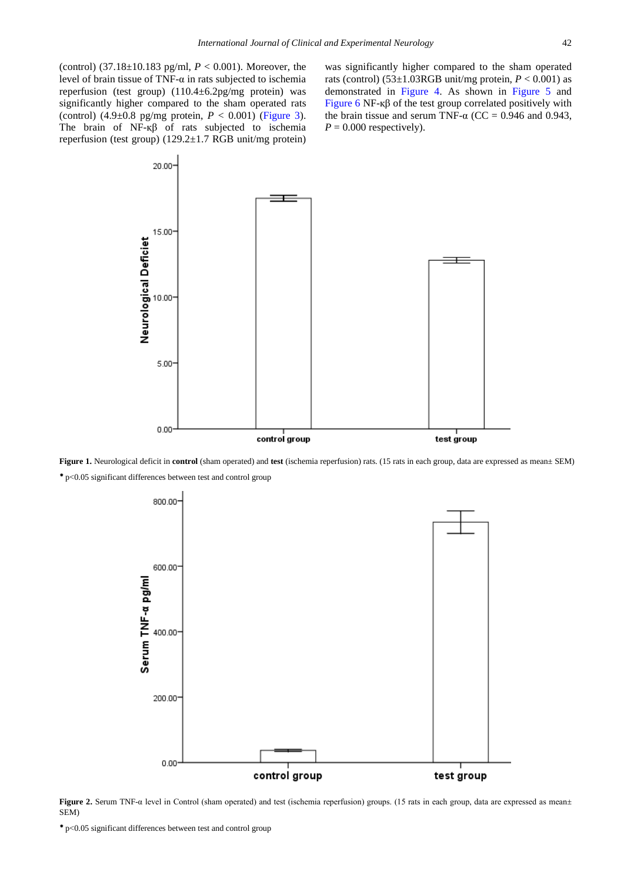(control) (37.18±10.183 pg/ml, *P* < 0.001). Moreover, the level of brain tissue of TNF-α in rats subjected to ischemia reperfusion (test group) (110.4±6.2pg/mg protein) was significantly higher compared to the sham operated rats (control)  $(4.9\pm0.8 \text{ pg/mg} \text{ protein}, P < 0.001)$  [\(Figure 3\)](#page-3-0). The brain of NF-қβ of rats subjected to ischemia reperfusion (test group) (129.2±1.7 RGB unit/mg protein) was significantly higher compared to the sham operated rats (control)  $(53\pm1.03RGB \text{ unit/mg} \text{ protein}, P < 0.001)$  as demonstrated in [Figure 4.](#page-3-1) As shown in [Figure 5](#page-4-0) and [Figure 6](#page-4-1) NF-κ $β$  of the test group correlated positively with the brain tissue and serum TNF- $\alpha$  (CC = 0.946 and 0.943,  $P = 0.000$  respectively).

<span id="page-2-0"></span>

<span id="page-2-1"></span>**Figure 1.** Neurological deficit in **control** (sham operated) and **test** (ischemia reperfusion) rats. (15 rats in each group, data are expressed as mean± SEM) p<0.05 significant differences between test and control group



**Figure 2.** Serum TNF-α level in Control (sham operated) and test (ischemia reperfusion) groups. (15 rats in each group, data are expressed as mean± SEM)

p<0.05 significant differences between test and control group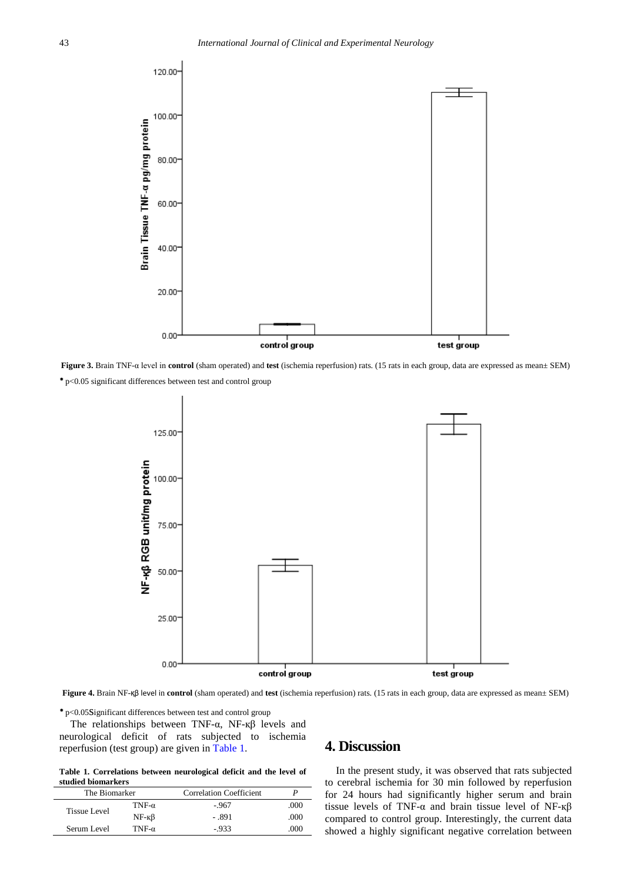<span id="page-3-0"></span>

<span id="page-3-1"></span>**Figure 3.** Brain TNF-α level in **control** (sham operated) and **test** (ischemia reperfusion) rats. (15 rats in each group, data are expressed as mean± SEM) p<0.05 significant differences between test and control group



**Figure 4.** Brain NF-қβ level in **control** (sham operated) and **test** (ischemia reperfusion) rats. (15 rats in each group, data are expressed as mean± SEM)

p<0.05significant differences between test and control group

The relationships between TNF-α, NF-қβ levels and neurological deficit of rats subjected to ischemia reperfusion (test group) are given in [Table 1.](#page-3-2)

**Table 1. Correlations between neurological deficit and the level of studied biomarkers**

<span id="page-3-2"></span>

| The Biomarker |               | <b>Correlation Coefficient</b> |      |
|---------------|---------------|--------------------------------|------|
| Tissue Level  | TNF- $\alpha$ | $-967$                         | .000 |
|               | $NF - K\beta$ | - .891                         | .000 |
| Serum Level   | TNF- $\alpha$ | $-933$                         | 000  |

# **4. Discussion**

In the present study, it was observed that rats subjected to cerebral ischemia for 30 min followed by reperfusion for 24 hours had significantly higher serum and brain tissue levels of TNF-α and brain tissue level of NF-қβ compared to control group. Interestingly, the current data showed a highly significant negative correlation between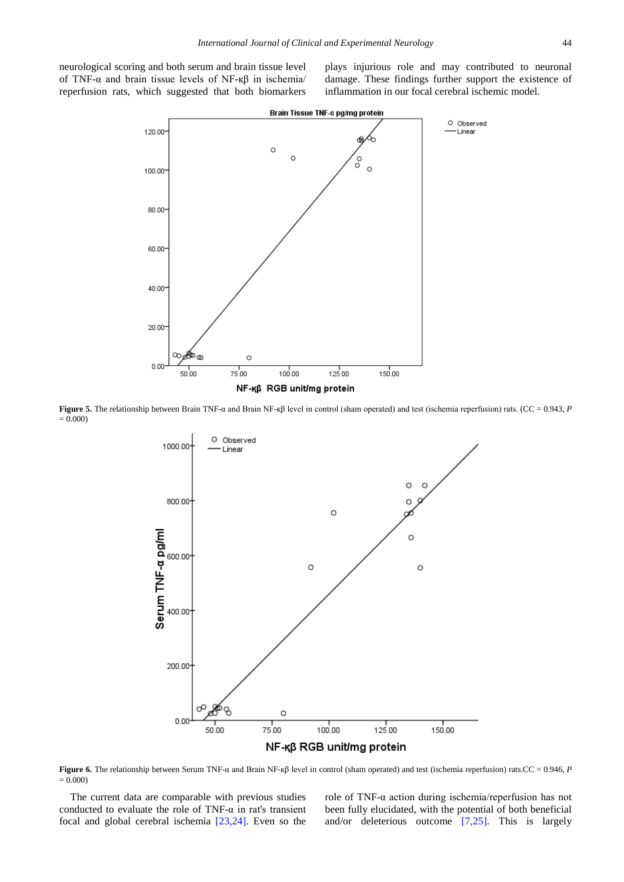<span id="page-4-0"></span>neurological scoring and both serum and brain tissue level of TNF-α and brain tissue levels of NF-қβ in ischemia/ reperfusion rats, which suggested that both biomarkers plays injurious role and may contributed to neuronal damage. These findings further support the existence of inflammation in our focal cerebral ischemic model.



<span id="page-4-1"></span>**Figure 5.** The relationship between Brain TNF-α and Brain NF-қβ level in control (sham operated) and test (ischemia reperfusion) rats. (CC = 0.943, *P*  $= 0.000$ 



**Figure 6.** The relationship between Serum TNF-α and Brain NF-қβ level in control (sham operated) and test (ischemia reperfusion) rats.CC = 0.946, *P*  $= 0.000$ 

The current data are comparable with previous studies conducted to evaluate the role of TNF-α in rat's transient focal and global cerebral ischemia [\[23,24\].](#page-6-6) Even so the

role of TNF-α action during ischemia/reperfusion has not been fully elucidated, with the potential of both beneficial and/or deleterious outcome [\[7,25\].](#page-5-3) This is largely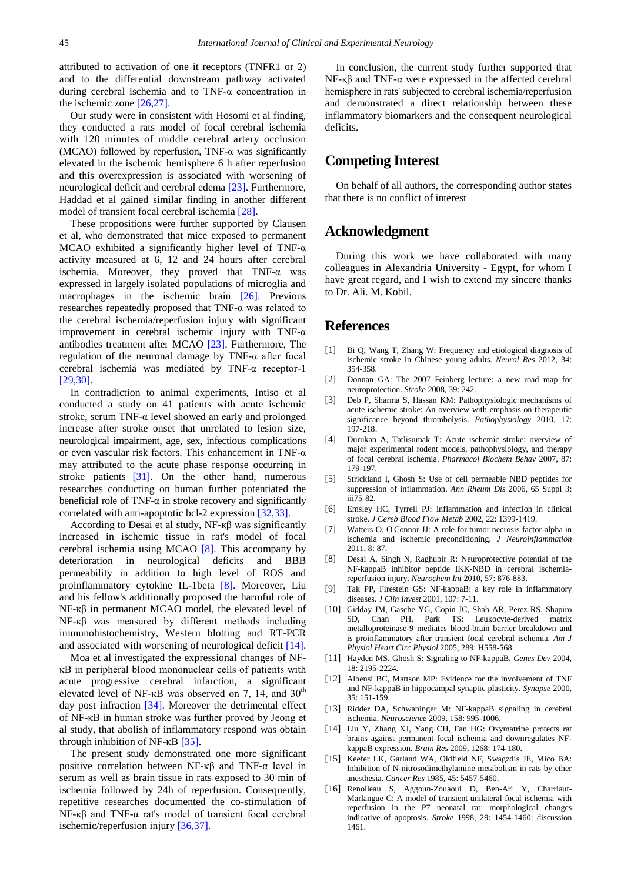attributed to activation of one it receptors (TNFR1 or 2) and to the differential downstream pathway activated during cerebral ischemia and to TNF-α concentration in the ischemic zone [\[26,27\].](#page-6-7)

Our study were in consistent with Hosomi et al finding, they conducted a rats model of focal cerebral ischemia with 120 minutes of middle cerebral artery occlusion (MCAO) followed by reperfusion, TNF- $\alpha$  was significantly elevated in the ischemic hemisphere 6 h after reperfusion and this overexpression is associated with worsening of neurological deficit and cerebral edema [\[23\].](#page-6-6) Furthermore, Haddad et al gained similar finding in another different model of transient focal cerebral ischemia [\[28\].](#page-6-8)

These propositions were further supported by Clausen et al, who demonstrated that mice exposed to permanent MCAO exhibited a significantly higher level of TNF- $\alpha$ activity measured at 6, 12 and 24 hours after cerebral ischemia. Moreover, they proved that  $TNF-\alpha$  was expressed in largely isolated populations of microglia and macrophages in the ischemic brain [\[26\].](#page-6-7) Previous researches repeatedly proposed that TNF-α was related to the cerebral ischemia/reperfusion injury with significant improvement in cerebral ischemic injury with TNF- $\alpha$ antibodies treatment after MCAO [\[23\].](#page-6-6) Furthermore, The regulation of the neuronal damage by TNF-α after focal cerebral ischemia was mediated by TNF-α receptor-1 [\[29,30\].](#page-6-9)

In contradiction to animal experiments, Intiso et al conducted a study on 41 patients with acute ischemic stroke, serum TNF-α level showed an early and prolonged increase after stroke onset that unrelated to lesion size, neurological impairment, age, sex, infectious complications or even vascular risk factors. This enhancement in TNF-α may attributed to the acute phase response occurring in stroke patients [\[31\].](#page-6-10) On the other hand, numerous researches conducting on human further potentiated the beneficial role of TNF- $\alpha$  in stroke recovery and significantly correlated with anti-apoptotic bcl-2 expression [\[32,33\].](#page-6-11)

According to Desai et al study, NF-қβ was significantly increased in ischemic tissue in rat's model of focal cerebral ischemia using MCAO [\[8\].](#page-5-4) This accompany by deterioration in neurological deficits and BBB permeability in addition to high level of ROS and proinflammatory cytokine IL-1beta [\[8\].](#page-5-4) Moreover, Liu and his fellow's additionally proposed the harmful role of NF-қβ in permanent MCAO model, the elevated level of NF-қβ was measured by different methods including immunohistochemistry, Western blotting and RT-PCR and associated with worsening of neurological deficit [\[14\].](#page-5-9)

Moa et al investigated the expressional changes of NFκB in peripheral blood mononuclear cells of patients with acute progressive cerebral infarction, a significant elevated level of NF- $\kappa$ B was observed on 7, 14, and 30<sup>th</sup> day post infraction [\[34\].](#page-6-12) Moreover the detrimental effect of NF-κB in human stroke was further proved by Jeong et al study, that abolish of inflammatory respond was obtain through inhibition of NF-κB [\[35\].](#page-6-13)

The present study demonstrated one more significant positive correlation between NF-κβ and TNF-α level in serum as well as brain tissue in rats exposed to 30 min of ischemia followed by 24h of reperfusion. Consequently, repetitive researches documented the co-stimulation of NF-қβ and TNF-α rat's model of transient focal cerebral ischemic/reperfusion injury [\[36,37\].](#page-6-14)

In conclusion, the current study further supported that NF-қβ and TNF-α were expressed in the affected cerebral hemisphere in rats' subjected to cerebral ischemia/reperfusion and demonstrated a direct relationship between these inflammatory biomarkers and the consequent neurological deficits.

# **Competing Interest**

On behalf of all authors, the corresponding author states that there is no conflict of interest

# **Acknowledgment**

During this work we have collaborated with many colleagues in Alexandria University - Egypt, for whom I have great regard, and I wish to extend my sincere thanks to Dr. Ali. M. Kobil.

# **References**

- <span id="page-5-0"></span>[1] Bi Q, Wang T, Zhang W: Frequency and etiological diagnosis of ischemic stroke in Chinese young adults. *Neurol Res* 2012, 34: 354-358.
- [2] Donnan GA: The 2007 Feinberg lecture: a new road map for neuroprotection. *Stroke* 2008, 39: 242.
- <span id="page-5-1"></span>[3] Deb P, Sharma S, Hassan KM: Pathophysiologic mechanisms of acute ischemic stroke: An overview with emphasis on therapeutic significance beyond thrombolysis. *Pathophysiology* 2010, 17: 197-218.
- [4] Durukan A, Tatlisumak T: Acute ischemic stroke: overview of major experimental rodent models, pathophysiology, and therapy of focal cerebral ischemia. *Pharmacol Biochem Behav* 2007, 87: 179-197.
- [5] Strickland I, Ghosh S: Use of cell permeable NBD peptides for suppression of inflammation. *Ann Rheum Dis* 2006, 65 Suppl 3: iii75-82.
- <span id="page-5-2"></span>[6] Emsley HC, Tyrrell PJ: Inflammation and infection in clinical stroke. *J Cereb Blood Flow Metab* 2002, 22: 1399-1419.
- <span id="page-5-3"></span>[7] Watters O, O'Connor JJ: A role for tumor necrosis factor-alpha in ischemia and ischemic preconditioning. *J Neuroinflammation* 2011, 8: 87.
- <span id="page-5-4"></span>[8] Desai A, Singh N, Raghubir R: Neuroprotective potential of the NF-kappaB inhibitor peptide IKK-NBD in cerebral ischemiareperfusion injury. *Neurochem Int* 2010, 57: 876-883.
- <span id="page-5-5"></span>[9] Tak PP, Firestein GS: NF-kappaB: a key role in inflammatory diseases. *J Clin Invest* 2001, 107: 7-11.
- [10] Gidday JM, Gasche YG, Copin JC, Shah AR, Perez RS, Shapiro SD, Chan PH, Park TS: Leukocyte-derived matrix metalloproteinase-9 mediates blood-brain barrier breakdown and is proinflammatory after transient focal cerebral ischemia. *Am J Physiol Heart Circ Physiol* 2005, 289: H558-568.
- [11] Hayden MS, Ghosh S: Signaling to NF-kappaB. *Genes Dev* 2004, 18: 2195-2224.
- [12] Albensi BC, Mattson MP: Evidence for the involvement of TNF and NF-kappaB in hippocampal synaptic plasticity. *Synapse* 2000, 35: 151-159.
- <span id="page-5-6"></span>[13] Ridder DA, Schwaninger M: NF-kappaB signaling in cerebral ischemia. *Neuroscience* 2009, 158: 995-1006.
- <span id="page-5-9"></span>[14] Liu Y, Zhang XJ, Yang CH, Fan HG: Oxymatrine protects rat brains against permanent focal ischemia and downregulates NFkappaB expression. *Brain Res* 2009, 1268: 174-180.
- <span id="page-5-7"></span>[15] Keefer LK, Garland WA, Oldfield NF, Swagzdis JE, Mico BA: Inhibition of N-nitrosodimethylamine metabolism in rats by ether anesthesia. *Cancer Res* 1985, 45: 5457-5460.
- <span id="page-5-8"></span>[16] Renolleau S, Aggoun-Zouaoui D, Ben-Ari Y, Charriaut-Marlangue C: A model of transient unilateral focal ischemia with reperfusion in the P7 neonatal rat: morphological changes indicative of apoptosis. *Stroke* 1998, 29: 1454-1460; discussion 1461.